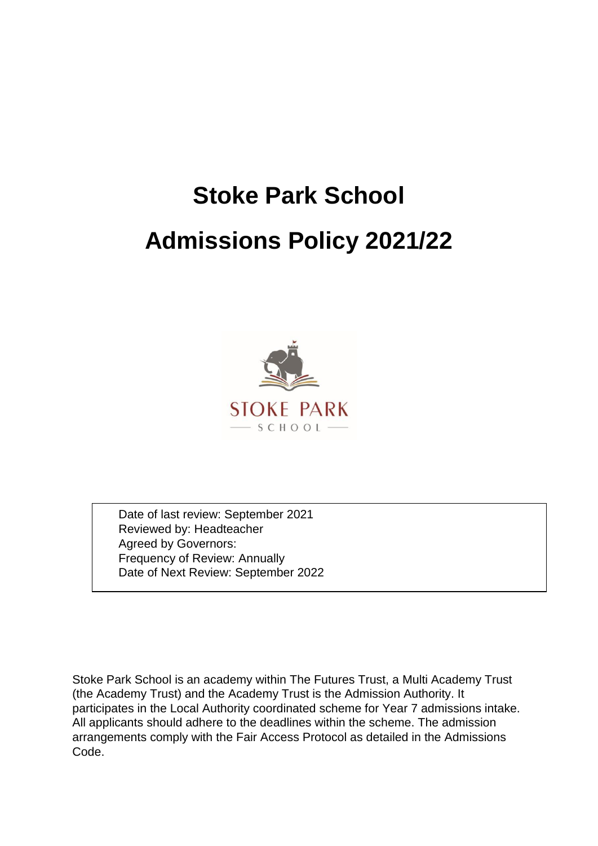# **Stoke Park School Admissions Policy 2021/22**



Date of last review: September 2021 Reviewed by: Headteacher Agreed by Governors: Frequency of Review: Annually Date of Next Review: September 2022

Stoke Park School is an academy within The Futures Trust, a Multi Academy Trust (the Academy Trust) and the Academy Trust is the Admission Authority. It participates in the Local Authority coordinated scheme for Year 7 admissions intake. All applicants should adhere to the deadlines within the scheme. The admission arrangements comply with the Fair Access Protocol as detailed in the Admissions Code.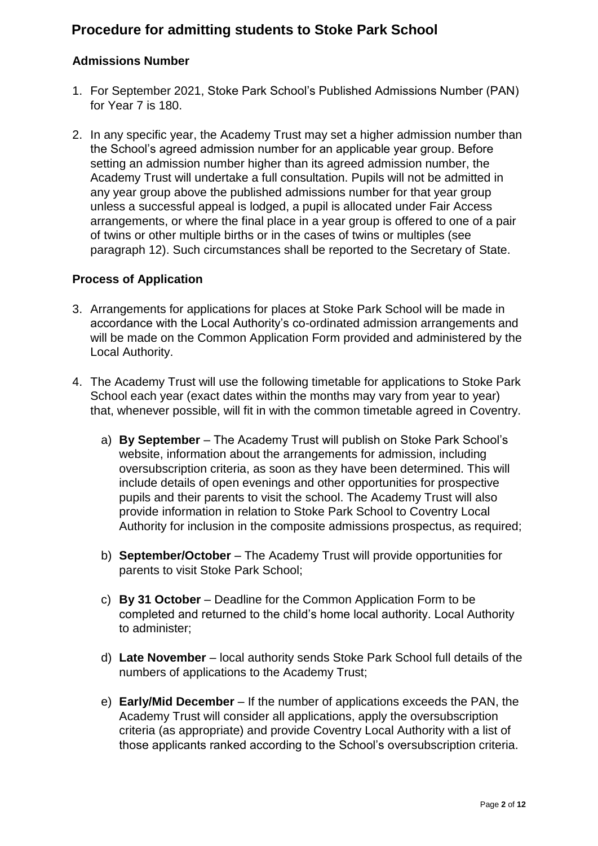# **Procedure for admitting students to Stoke Park School**

# **Admissions Number**

- 1. For September 2021, Stoke Park School's Published Admissions Number (PAN) for Year 7 is 180.
- 2. In any specific year, the Academy Trust may set a higher admission number than the School's agreed admission number for an applicable year group. Before setting an admission number higher than its agreed admission number, the Academy Trust will undertake a full consultation. Pupils will not be admitted in any year group above the published admissions number for that year group unless a successful appeal is lodged, a pupil is allocated under Fair Access arrangements, or where the final place in a year group is offered to one of a pair of twins or other multiple births or in the cases of twins or multiples (see paragraph 12). Such circumstances shall be reported to the Secretary of State.

# **Process of Application**

- 3. Arrangements for applications for places at Stoke Park School will be made in accordance with the Local Authority's co-ordinated admission arrangements and will be made on the Common Application Form provided and administered by the Local Authority.
- 4. The Academy Trust will use the following timetable for applications to Stoke Park School each year (exact dates within the months may vary from year to year) that, whenever possible, will fit in with the common timetable agreed in Coventry.
	- a) **By September** The Academy Trust will publish on Stoke Park School's website, information about the arrangements for admission, including oversubscription criteria, as soon as they have been determined. This will include details of open evenings and other opportunities for prospective pupils and their parents to visit the school. The Academy Trust will also provide information in relation to Stoke Park School to Coventry Local Authority for inclusion in the composite admissions prospectus, as required;
	- b) **September/October** The Academy Trust will provide opportunities for parents to visit Stoke Park School;
	- c) **By 31 October** Deadline for the Common Application Form to be completed and returned to the child's home local authority. Local Authority to administer;
	- d) **Late November** local authority sends Stoke Park School full details of the numbers of applications to the Academy Trust;
	- e) **Early/Mid December** If the number of applications exceeds the PAN, the Academy Trust will consider all applications, apply the oversubscription criteria (as appropriate) and provide Coventry Local Authority with a list of those applicants ranked according to the School's oversubscription criteria.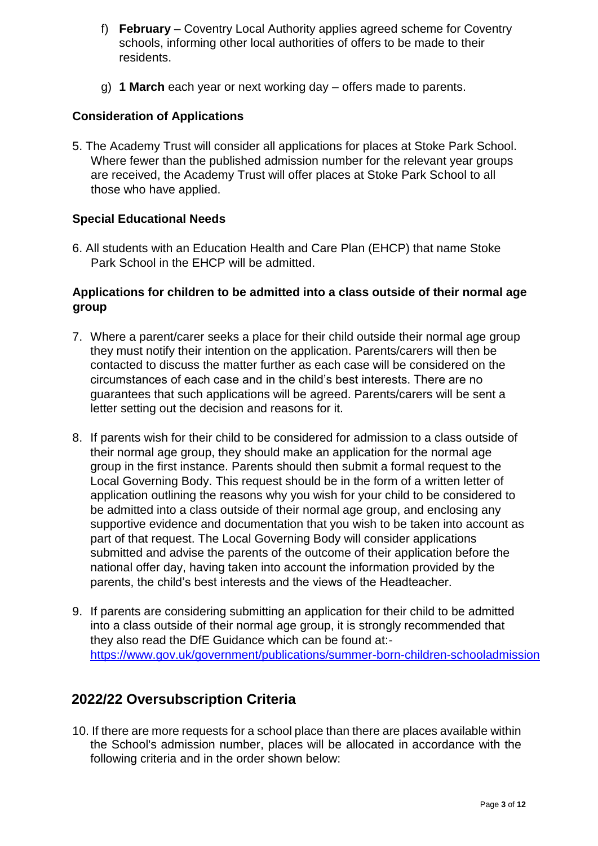- f) **February** Coventry Local Authority applies agreed scheme for Coventry schools, informing other local authorities of offers to be made to their residents.
- g) **1 March** each year or next working day offers made to parents.

# **Consideration of Applications**

5. The Academy Trust will consider all applications for places at Stoke Park School. Where fewer than the published admission number for the relevant year groups are received, the Academy Trust will offer places at Stoke Park School to all those who have applied.

# **Special Educational Needs**

6. All students with an Education Health and Care Plan (EHCP) that name Stoke Park School in the EHCP will be admitted.

# **Applications for children to be admitted into a class outside of their normal age group**

- 7. Where a parent/carer seeks a place for their child outside their normal age group they must notify their intention on the application. Parents/carers will then be contacted to discuss the matter further as each case will be considered on the circumstances of each case and in the child's best interests. There are no guarantees that such applications will be agreed. Parents/carers will be sent a letter setting out the decision and reasons for it.
- 8. If parents wish for their child to be considered for admission to a class outside of their normal age group, they should make an application for the normal age group in the first instance. Parents should then submit a formal request to the Local Governing Body. This request should be in the form of a written letter of application outlining the reasons why you wish for your child to be considered to be admitted into a class outside of their normal age group, and enclosing any supportive evidence and documentation that you wish to be taken into account as part of that request. The Local Governing Body will consider applications submitted and advise the parents of the outcome of their application before the national offer day, having taken into account the information provided by the parents, the child's best interests and the views of the Headteacher.
- 9. If parents are considering submitting an application for their child to be admitted into a class outside of their normal age group, it is strongly recommended that they also read the DfE Guidance which can be found at: [https://www.gov.uk/government/publications/summer-born-children-schooladmission](https://www.gov.uk/government/publications/summer-born-children-school-admission)

# **2022/22 Oversubscription Criteria**

10. If there are more requests for a school place than there are places available within the School's admission number, places will be allocated in accordance with the following criteria and in the order shown below: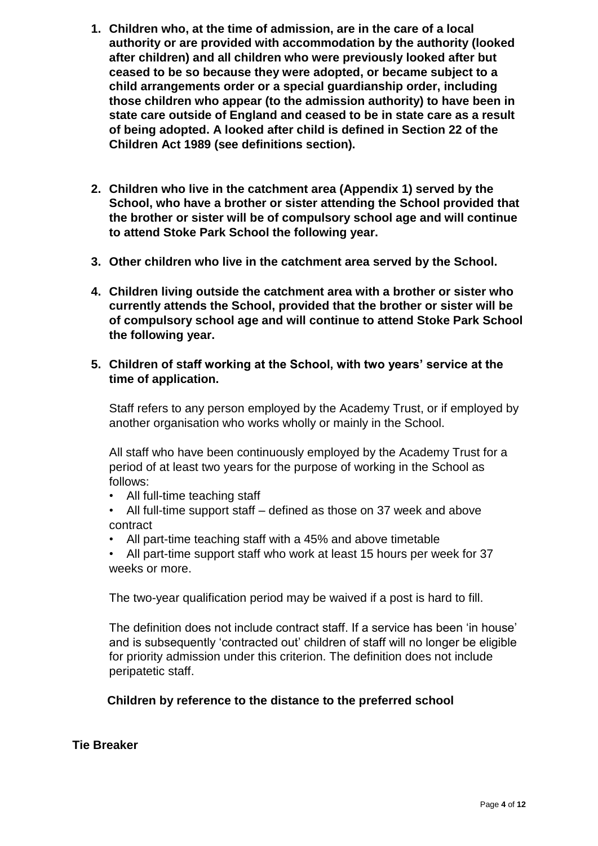- **1. Children who, at the time of admission, are in the care of a local authority or are provided with accommodation by the authority (looked after children) and all children who were previously looked after but ceased to be so because they were adopted, or became subject to a child arrangements order or a special guardianship order, including those children who appear (to the admission authority) to have been in state care outside of England and ceased to be in state care as a result of being adopted. A looked after child is defined in Section 22 of the Children Act 1989 (see definitions section).**
- **2. Children who live in the catchment area (Appendix 1) served by the School, who have a brother or sister attending the School provided that the brother or sister will be of compulsory school age and will continue to attend Stoke Park School the following year.**
- **3. Other children who live in the catchment area served by the School.**
- **4. Children living outside the catchment area with a brother or sister who currently attends the School, provided that the brother or sister will be of compulsory school age and will continue to attend Stoke Park School the following year.**
- **5. Children of staff working at the School, with two years' service at the time of application.**

Staff refers to any person employed by the Academy Trust, or if employed by another organisation who works wholly or mainly in the School.

All staff who have been continuously employed by the Academy Trust for a period of at least two years for the purpose of working in the School as follows:

- All full-time teaching staff
- All full-time support staff defined as those on 37 week and above contract
- All part-time teaching staff with a 45% and above timetable

• All part-time support staff who work at least 15 hours per week for 37 weeks or more.

The two-year qualification period may be waived if a post is hard to fill.

The definition does not include contract staff. If a service has been 'in house' and is subsequently 'contracted out' children of staff will no longer be eligible for priority admission under this criterion. The definition does not include peripatetic staff.

# **Children by reference to the distance to the preferred school**

# **Tie Breaker**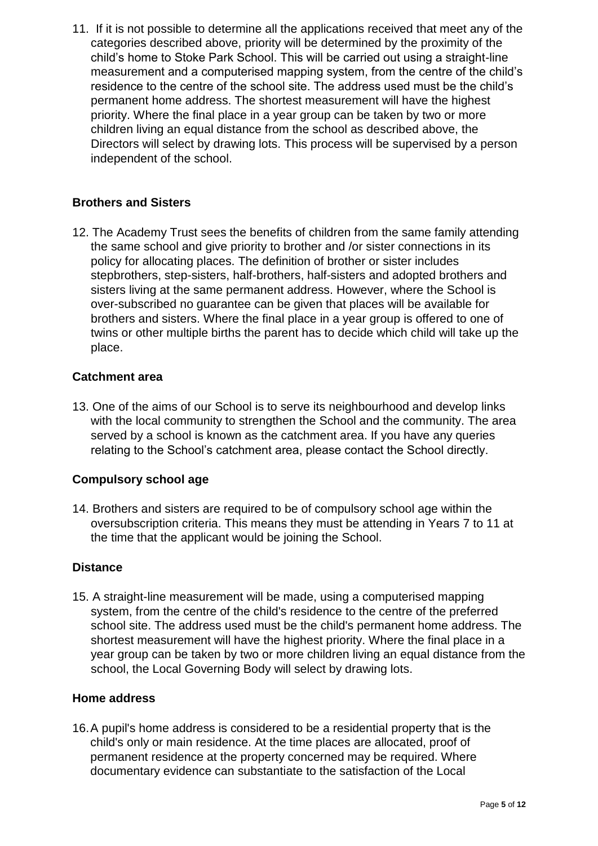11. If it is not possible to determine all the applications received that meet any of the categories described above, priority will be determined by the proximity of the child's home to Stoke Park School. This will be carried out using a straight-line measurement and a computerised mapping system, from the centre of the child's residence to the centre of the school site. The address used must be the child's permanent home address. The shortest measurement will have the highest priority. Where the final place in a year group can be taken by two or more children living an equal distance from the school as described above, the Directors will select by drawing lots. This process will be supervised by a person independent of the school.

# **Brothers and Sisters**

12. The Academy Trust sees the benefits of children from the same family attending the same school and give priority to brother and /or sister connections in its policy for allocating places. The definition of brother or sister includes stepbrothers, step-sisters, half-brothers, half-sisters and adopted brothers and sisters living at the same permanent address. However, where the School is over-subscribed no guarantee can be given that places will be available for brothers and sisters. Where the final place in a year group is offered to one of twins or other multiple births the parent has to decide which child will take up the place.

#### **Catchment area**

13. One of the aims of our School is to serve its neighbourhood and develop links with the local community to strengthen the School and the community. The area served by a school is known as the catchment area. If you have any queries relating to the School's catchment area, please contact the School directly.

# **Compulsory school age**

14. Brothers and sisters are required to be of compulsory school age within the oversubscription criteria. This means they must be attending in Years 7 to 11 at the time that the applicant would be joining the School.

#### **Distance**

15. A straight-line measurement will be made, using a computerised mapping system, from the centre of the child's residence to the centre of the preferred school site. The address used must be the child's permanent home address. The shortest measurement will have the highest priority. Where the final place in a year group can be taken by two or more children living an equal distance from the school, the Local Governing Body will select by drawing lots.

#### **Home address**

16.A pupil's home address is considered to be a residential property that is the child's only or main residence. At the time places are allocated, proof of permanent residence at the property concerned may be required. Where documentary evidence can substantiate to the satisfaction of the Local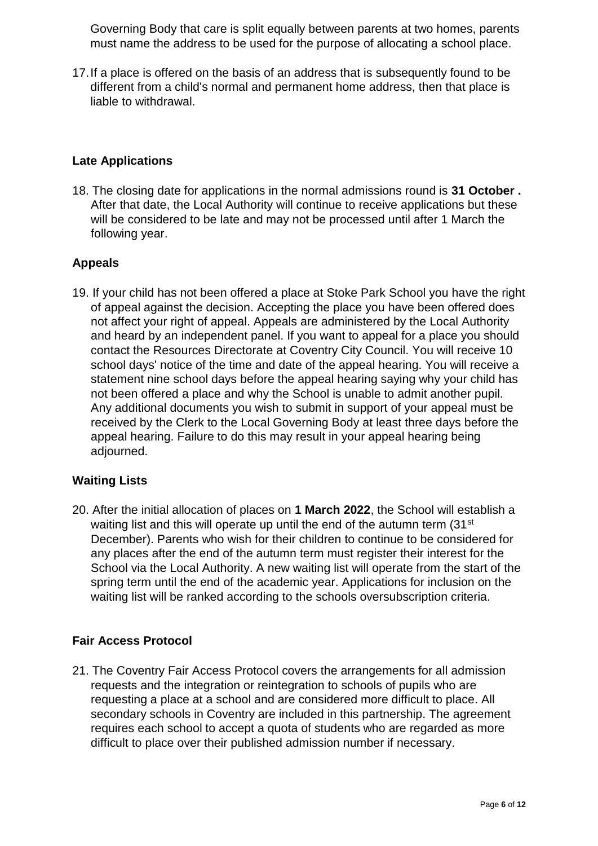Governing Body that care is split equally between parents at two homes, parents must name the address to be used for the purpose of allocating a school place.

17.If a place is offered on the basis of an address that is subsequently found to be different from a child's normal and permanent home address, then that place is liable to withdrawal.

# **Late Applications**

18. The closing date for applications in the normal admissions round is **31 October .**  After that date, the Local Authority will continue to receive applications but these will be considered to be late and may not be processed until after 1 March the following year.

# **Appeals**

19. If your child has not been offered a place at Stoke Park School you have the right of appeal against the decision. Accepting the place you have been offered does not affect your right of appeal. Appeals are administered by the Local Authority and heard by an independent panel. If you want to appeal for a place you should contact the Resources Directorate at Coventry City Council. You will receive 10 school days' notice of the time and date of the appeal hearing. You will receive a statement nine school days before the appeal hearing saying why your child has not been offered a place and why the School is unable to admit another pupil. Any additional documents you wish to submit in support of your appeal must be received by the Clerk to the Local Governing Body at least three days before the appeal hearing. Failure to do this may result in your appeal hearing being adjourned.

# **Waiting Lists**

20. After the initial allocation of places on **1 March 2022**, the School will establish a waiting list and this will operate up until the end of the autumn term (31<sup>st</sup>) December). Parents who wish for their children to continue to be considered for any places after the end of the autumn term must register their interest for the School via the Local Authority. A new waiting list will operate from the start of the spring term until the end of the academic year. Applications for inclusion on the waiting list will be ranked according to the schools oversubscription criteria.

# **Fair Access Protocol**

21. The Coventry Fair Access Protocol covers the arrangements for all admission requests and the integration or reintegration to schools of pupils who are requesting a place at a school and are considered more difficult to place. All secondary schools in Coventry are included in this partnership. The agreement requires each school to accept a quota of students who are regarded as more difficult to place over their published admission number if necessary.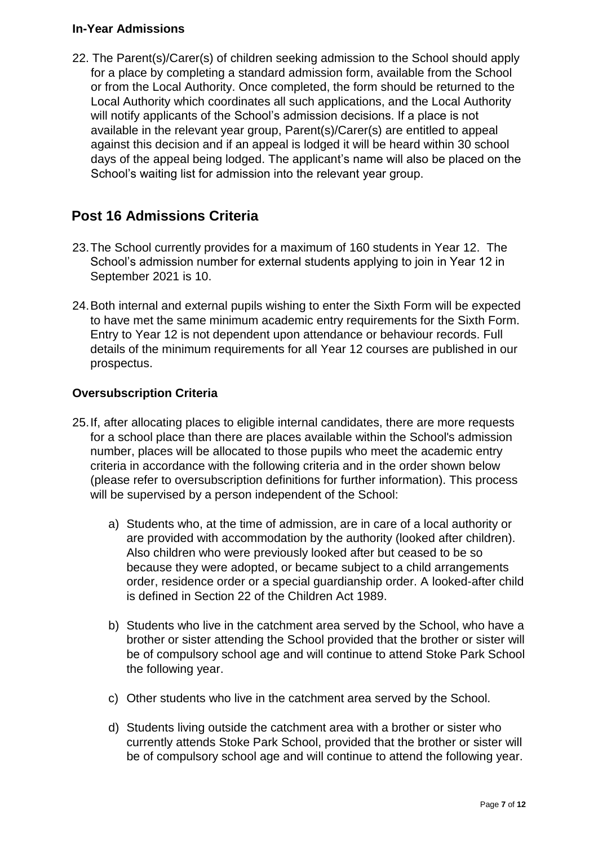# **In-Year Admissions**

22. The Parent(s)/Carer(s) of children seeking admission to the School should apply for a place by completing a standard admission form, available from the School or from the Local Authority. Once completed, the form should be returned to the Local Authority which coordinates all such applications, and the Local Authority will notify applicants of the School's admission decisions. If a place is not available in the relevant year group, Parent(s)/Carer(s) are entitled to appeal against this decision and if an appeal is lodged it will be heard within 30 school days of the appeal being lodged. The applicant's name will also be placed on the School's waiting list for admission into the relevant year group.

# **Post 16 Admissions Criteria**

- 23.The School currently provides for a maximum of 160 students in Year 12. The School's admission number for external students applying to join in Year 12 in September 2021 is 10.
- 24.Both internal and external pupils wishing to enter the Sixth Form will be expected to have met the same minimum academic entry requirements for the Sixth Form. Entry to Year 12 is not dependent upon attendance or behaviour records. Full details of the minimum requirements for all Year 12 courses are published in our prospectus.

# **Oversubscription Criteria**

- 25.If, after allocating places to eligible internal candidates, there are more requests for a school place than there are places available within the School's admission number, places will be allocated to those pupils who meet the academic entry criteria in accordance with the following criteria and in the order shown below (please refer to oversubscription definitions for further information). This process will be supervised by a person independent of the School:
	- a) Students who, at the time of admission, are in care of a local authority or are provided with accommodation by the authority (looked after children). Also children who were previously looked after but ceased to be so because they were adopted, or became subject to a child arrangements order, residence order or a special guardianship order. A looked-after child is defined in Section 22 of the Children Act 1989.
	- b) Students who live in the catchment area served by the School, who have a brother or sister attending the School provided that the brother or sister will be of compulsory school age and will continue to attend Stoke Park School the following year.
	- c) Other students who live in the catchment area served by the School.
	- d) Students living outside the catchment area with a brother or sister who currently attends Stoke Park School, provided that the brother or sister will be of compulsory school age and will continue to attend the following year.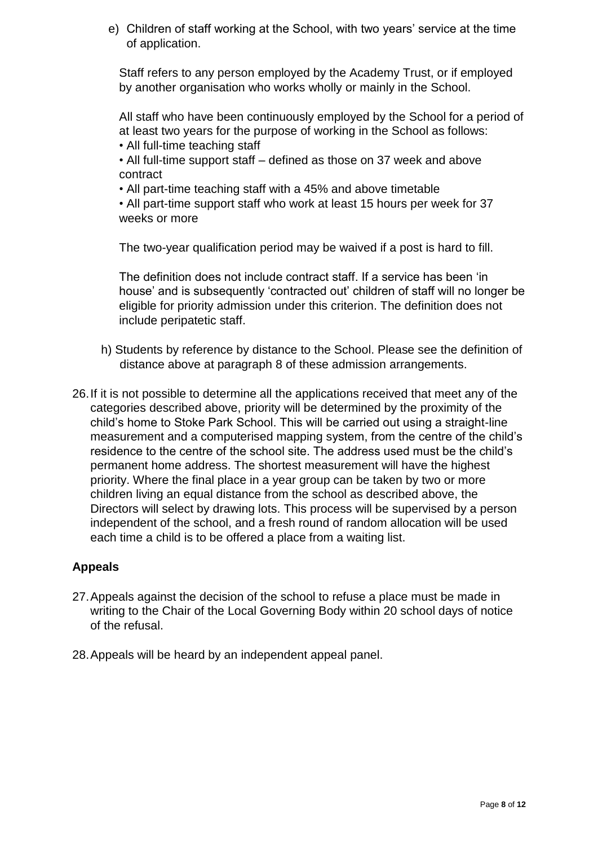e) Children of staff working at the School, with two years' service at the time of application.

Staff refers to any person employed by the Academy Trust, or if employed by another organisation who works wholly or mainly in the School.

All staff who have been continuously employed by the School for a period of at least two years for the purpose of working in the School as follows:

• All full-time teaching staff

• All full-time support staff – defined as those on 37 week and above contract

• All part-time teaching staff with a 45% and above timetable

• All part-time support staff who work at least 15 hours per week for 37 weeks or more

The two-year qualification period may be waived if a post is hard to fill.

The definition does not include contract staff. If a service has been 'in house' and is subsequently 'contracted out' children of staff will no longer be eligible for priority admission under this criterion. The definition does not include peripatetic staff.

- h) Students by reference by distance to the School. Please see the definition of distance above at paragraph 8 of these admission arrangements.
- 26.If it is not possible to determine all the applications received that meet any of the categories described above, priority will be determined by the proximity of the child's home to Stoke Park School. This will be carried out using a straight-line measurement and a computerised mapping system, from the centre of the child's residence to the centre of the school site. The address used must be the child's permanent home address. The shortest measurement will have the highest priority. Where the final place in a year group can be taken by two or more children living an equal distance from the school as described above, the Directors will select by drawing lots. This process will be supervised by a person independent of the school, and a fresh round of random allocation will be used each time a child is to be offered a place from a waiting list.

# **Appeals**

- 27.Appeals against the decision of the school to refuse a place must be made in writing to the Chair of the Local Governing Body within 20 school days of notice of the refusal.
- 28.Appeals will be heard by an independent appeal panel.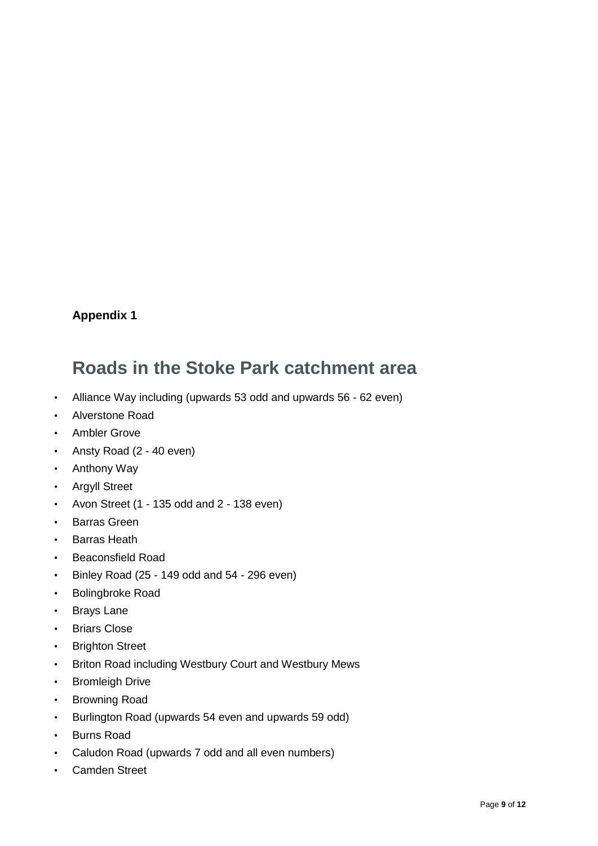# **Appendix 1**

# **Roads in the Stoke Park catchment area**

- Alliance Way including (upwards 53 odd and upwards 56 62 even)
- Alverstone Road
- Ambler Grove
- Ansty Road (2 40 even)
- Anthony Way
- Argyll Street
- Avon Street (1 135 odd and 2 138 even)
- Barras Green
- Barras Heath
- Beaconsfield Road
- Binley Road (25 149 odd and 54 296 even)
- Bolingbroke Road
- Brays Lane
- Briars Close
- Brighton Street
- Briton Road including Westbury Court and Westbury Mews
- Bromleigh Drive
- Browning Road
- Burlington Road (upwards 54 even and upwards 59 odd)
- Burns Road
- Caludon Road (upwards 7 odd and all even numbers)
- Camden Street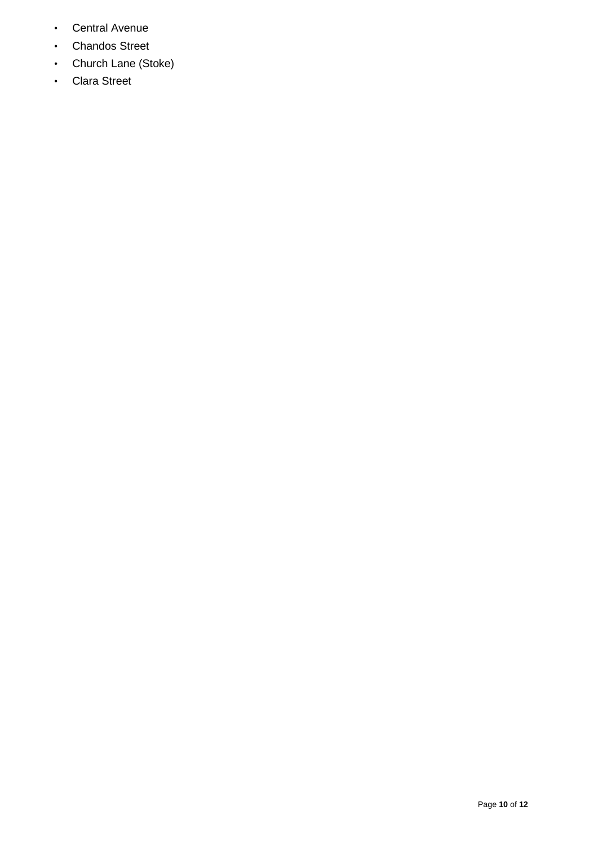- Central Avenue
- Chandos Street
- Church Lane (Stoke)
- Clara Street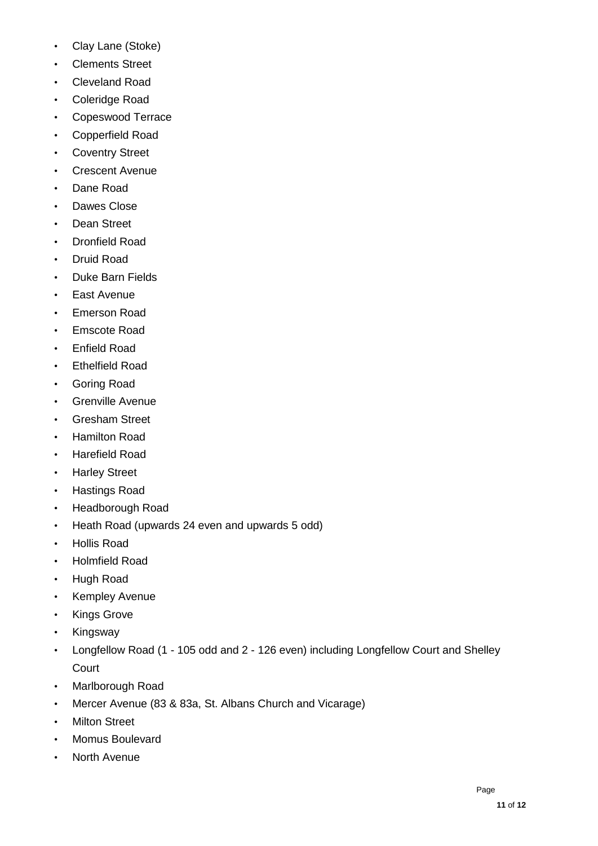- Clay Lane (Stoke)
- Clements Street
- Cleveland Road
- Coleridge Road
- Copeswood Terrace
- Copperfield Road
- Coventry Street
- Crescent Avenue
- Dane Road
- Dawes Close
- Dean Street
- Dronfield Road
- Druid Road
- Duke Barn Fields
- East Avenue
- Emerson Road
- Emscote Road
- Enfield Road
- Ethelfield Road
- Goring Road
- Grenville Avenue
- Gresham Street
- Hamilton Road
- Harefield Road
- Harley Street
- Hastings Road
- Headborough Road
- Heath Road (upwards 24 even and upwards 5 odd)
- Hollis Road
- Holmfield Road
- Hugh Road
- Kempley Avenue
- Kings Grove
- **Kingsway**
- Longfellow Road (1 105 odd and 2 126 even) including Longfellow Court and Shelley Court
- Marlborough Road
- Mercer Avenue (83 & 83a, St. Albans Church and Vicarage)
- Milton Street
- Momus Boulevard
- North Avenue